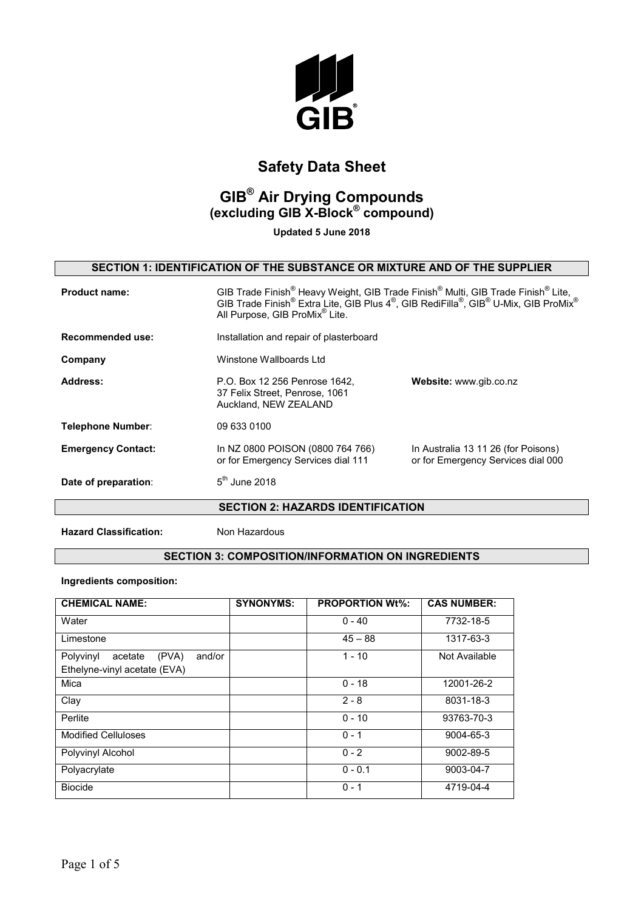

# **GIB® Air Drying Compounds (excluding GIB X-Block® compound)**

**Updated 5 June 2018**

### **SECTION 1: IDENTIFICATION OF THE SUBSTANCE OR MIXTURE AND OF THE SUPPLIER**

| <b>Product name:</b>      | GIB Trade Finish <sup>®</sup> Heavy Weight, GIB Trade Finish <sup>®</sup> Multi, GIB Trade Finish <sup>®</sup> Lite,<br>GIB Trade Finish <sup>®</sup> Extra Lite, GIB Plus 4 <sup>®</sup> , GIB RediFilla®, GIB <sup>®</sup> U-Mix, GIB ProMix <sup>®</sup><br>All Purpose, GIB ProMix <sup>®</sup> Lite. |                                                                           |
|---------------------------|-----------------------------------------------------------------------------------------------------------------------------------------------------------------------------------------------------------------------------------------------------------------------------------------------------------|---------------------------------------------------------------------------|
| Recommended use:          | Installation and repair of plasterboard                                                                                                                                                                                                                                                                   |                                                                           |
| Company                   | Winstone Wallboards Ltd                                                                                                                                                                                                                                                                                   |                                                                           |
| Address:                  | P.O. Box 12 256 Penrose 1642.<br>37 Felix Street, Penrose, 1061<br>Auckland, NEW ZEALAND                                                                                                                                                                                                                  | Website: www.gib.co.nz                                                    |
| Telephone Number:         | 09 633 0100                                                                                                                                                                                                                                                                                               |                                                                           |
| <b>Emergency Contact:</b> | In NZ 0800 POISON (0800 764 766)<br>or for Emergency Services dial 111                                                                                                                                                                                                                                    | In Australia 13 11 26 (for Poisons)<br>or for Emergency Services dial 000 |
| Date of preparation:      | $5th$ June 2018                                                                                                                                                                                                                                                                                           |                                                                           |

**SECTION 2: HAZARDS IDENTIFICATION** 

**Hazard Classification:** Non Hazardous

### **SECTION 3: COMPOSITION/INFORMATION ON INGREDIENTS**

#### **Ingredients composition:**

| <b>CHEMICAL NAME:</b>                                                   | <b>SYNONYMS:</b> | <b>PROPORTION Wt%:</b> | <b>CAS NUMBER:</b> |
|-------------------------------------------------------------------------|------------------|------------------------|--------------------|
| Water                                                                   |                  | $0 - 40$               | 7732-18-5          |
| Limestone                                                               |                  | $45 - 88$              | 1317-63-3          |
| Polyvinyl<br>(PVA)<br>and/or<br>acetate<br>Ethelyne-vinyl acetate (EVA) |                  | $1 - 10$               | Not Available      |
| Mica                                                                    |                  | $0 - 18$               | 12001-26-2         |
| Clay                                                                    |                  | $2 - 8$                | 8031-18-3          |
| Perlite                                                                 |                  | $0 - 10$               | 93763-70-3         |
| <b>Modified Celluloses</b>                                              |                  | $0 - 1$                | 9004-65-3          |
| Polyvinyl Alcohol                                                       |                  | $0 - 2$                | 9002-89-5          |
| Polyacrylate                                                            |                  | $0 - 0.1$              | 9003-04-7          |
| <b>Biocide</b>                                                          |                  | $0 - 1$                | 4719-04-4          |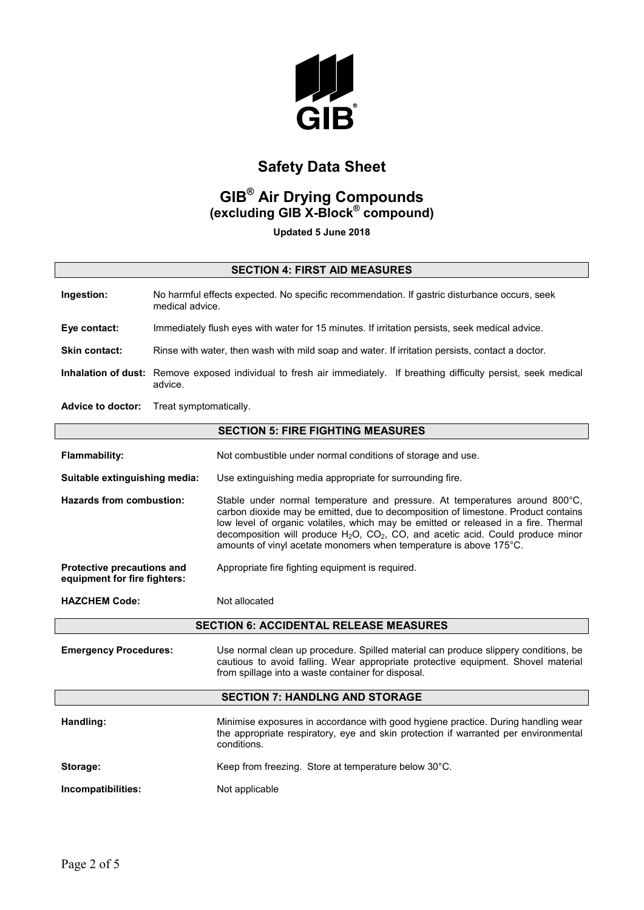

# **GIB® Air Drying Compounds (excluding GIB X-Block® compound)**

**Updated 5 June 2018**

### **SECTION 4: FIRST AID MEASURES**

| Ingestion:           | No harmful effects expected. No specific recommendation. If gastric disturbance occurs, seek<br>medical advice.                  |
|----------------------|----------------------------------------------------------------------------------------------------------------------------------|
| Eye contact:         | Immediately flush eyes with water for 15 minutes. If irritation persists, seek medical advice.                                   |
| <b>Skin contact:</b> | Rinse with water, then wash with mild soap and water. If irritation persists, contact a doctor.                                  |
|                      | Inhalation of dust: Remove exposed individual to fresh air immediately. If breathing difficulty persist, seek medical<br>advice. |
| .                    |                                                                                                                                  |

**Advice to doctor:** Treat symptomatically.

#### **SECTION 5: FIRE FIGHTING MEASURES**

| <b>Flammability:</b>                                              | Not combustible under normal conditions of storage and use.                                                                                                                                                                                                                                                                                                                                                                |  |
|-------------------------------------------------------------------|----------------------------------------------------------------------------------------------------------------------------------------------------------------------------------------------------------------------------------------------------------------------------------------------------------------------------------------------------------------------------------------------------------------------------|--|
| Suitable extinguishing media:                                     | Use extinguishing media appropriate for surrounding fire.                                                                                                                                                                                                                                                                                                                                                                  |  |
| Hazards from combustion:                                          | Stable under normal temperature and pressure. At temperatures around 800°C,<br>carbon dioxide may be emitted, due to decomposition of limestone. Product contains<br>low level of organic volatiles, which may be emitted or released in a fire. Thermal<br>decomposition will produce $H_2O$ , $CO_2$ , $CO$ , and acetic acid. Could produce minor<br>amounts of vinyl acetate monomers when temperature is above 175°C. |  |
| <b>Protective precautions and</b><br>equipment for fire fighters: | Appropriate fire fighting equipment is required.                                                                                                                                                                                                                                                                                                                                                                           |  |
| <b>HAZCHEM Code:</b>                                              | Not allocated                                                                                                                                                                                                                                                                                                                                                                                                              |  |
| <b>SECTION 6: ACCIDENTAL RELEASE MEASURES</b>                     |                                                                                                                                                                                                                                                                                                                                                                                                                            |  |

**Emergency Procedures:** Use normal clean up procedure. Spilled material can produce slippery conditions, be cautious to avoid falling. Wear appropriate protective equipment. Shovel material from spillage into a waste container for disposal.

#### **SECTION 7: HANDLNG AND STORAGE**

| Handling:          | Minimise exposures in accordance with good hygiene practice. During handling wear<br>the appropriate respiratory, eye and skin protection if warranted per environmental<br>conditions. |
|--------------------|-----------------------------------------------------------------------------------------------------------------------------------------------------------------------------------------|
| Storage:           | Keep from freezing. Store at temperature below 30°C.                                                                                                                                    |
| Incompatibilities: | Not applicable                                                                                                                                                                          |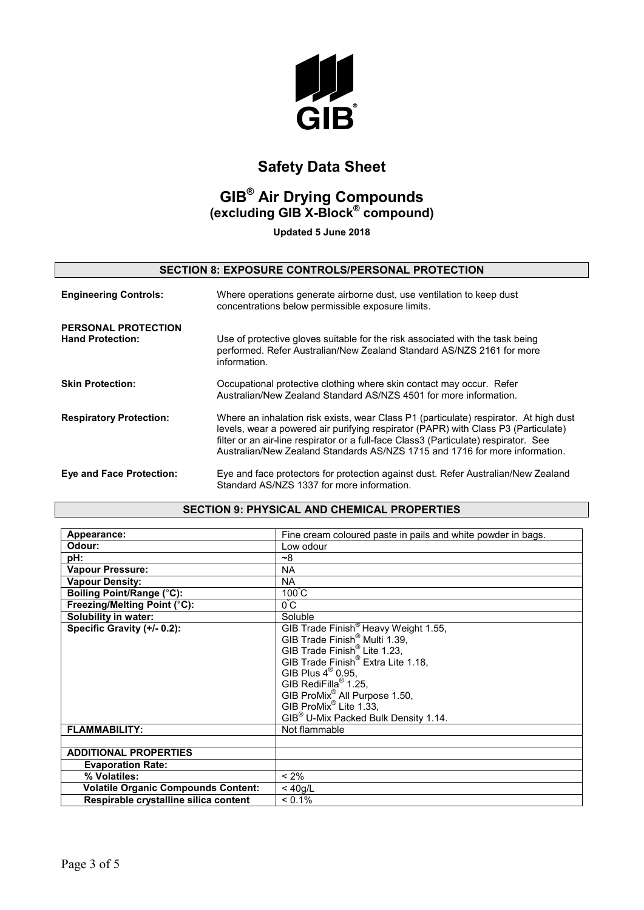

## **GIB® Air Drying Compounds (excluding GIB X-Block® compound)**

**Updated 5 June 2018**

### **SECTION 8: EXPOSURE CONTROLS/PERSONAL PROTECTION**

| <b>Engineering Controls:</b>                          | Where operations generate airborne dust, use ventilation to keep dust<br>concentrations below permissible exposure limits.                                                                                                                                                                                                                         |
|-------------------------------------------------------|----------------------------------------------------------------------------------------------------------------------------------------------------------------------------------------------------------------------------------------------------------------------------------------------------------------------------------------------------|
| <b>PERSONAL PROTECTION</b><br><b>Hand Protection:</b> | Use of protective gloves suitable for the risk associated with the task being<br>performed. Refer Australian/New Zealand Standard AS/NZS 2161 for more<br>information.                                                                                                                                                                             |
| <b>Skin Protection:</b>                               | Occupational protective clothing where skin contact may occur. Refer<br>Australian/New Zealand Standard AS/NZS 4501 for more information.                                                                                                                                                                                                          |
| <b>Respiratory Protection:</b>                        | Where an inhalation risk exists, wear Class P1 (particulate) respirator. At high dust<br>levels, wear a powered air purifying respirator (PAPR) with Class P3 (Particulate)<br>filter or an air-line respirator or a full-face Class3 (Particulate) respirator. See<br>Australian/New Zealand Standards AS/NZS 1715 and 1716 for more information. |
| <b>Eye and Face Protection:</b>                       | Eye and face protectors for protection against dust. Refer Australian/New Zealand<br>Standard AS/NZS 1337 for more information.                                                                                                                                                                                                                    |

#### **SECTION 9: PHYSICAL AND CHEMICAL PROPERTIES**

| Appearance:                                | Fine cream coloured paste in pails and white powder in bags. |
|--------------------------------------------|--------------------------------------------------------------|
| Odour:                                     | Low odour                                                    |
| pH:                                        | ~8                                                           |
| <b>Vapour Pressure:</b>                    | <b>NA</b>                                                    |
| <b>Vapour Density:</b>                     | <b>NA</b>                                                    |
| Boiling Point/Range (°C):                  | $100^{\circ}$ C                                              |
| Freezing/Melting Point (°C):               | 0°C                                                          |
| <b>Solubility in water:</b>                | Soluble                                                      |
| Specific Gravity (+/- 0.2):                | GIB Trade Finish <sup>®</sup> Heavy Weight 1.55,             |
|                                            | GIB Trade Finish <sup>®</sup> Multi 1.39,                    |
|                                            | GIB Trade Finish <sup>®</sup> Lite 1.23,                     |
|                                            | GIB Trade Finish <sup>®</sup> Extra Lite 1.18,               |
|                                            | GIB Plus $4^\circledR$ 0.95,                                 |
|                                            | GIB RediFilla <sup>®</sup> 1.25,                             |
|                                            | GIB ProMix <sup>®</sup> All Purpose 1.50,                    |
|                                            | GIB ProMix <sup>®</sup> Lite 1.33,                           |
|                                            | GIB <sup>®</sup> U-Mix Packed Bulk Density 1.14.             |
| <b>FLAMMABILITY:</b>                       | Not flammable                                                |
|                                            |                                                              |
| <b>ADDITIONAL PROPERTIES</b>               |                                                              |
| <b>Evaporation Rate:</b>                   |                                                              |
| % Volatiles:                               | $< 2\%$                                                      |
| <b>Volatile Organic Compounds Content:</b> | $<$ 40g/L                                                    |
| Respirable crystalline silica content      | $< 0.1\%$                                                    |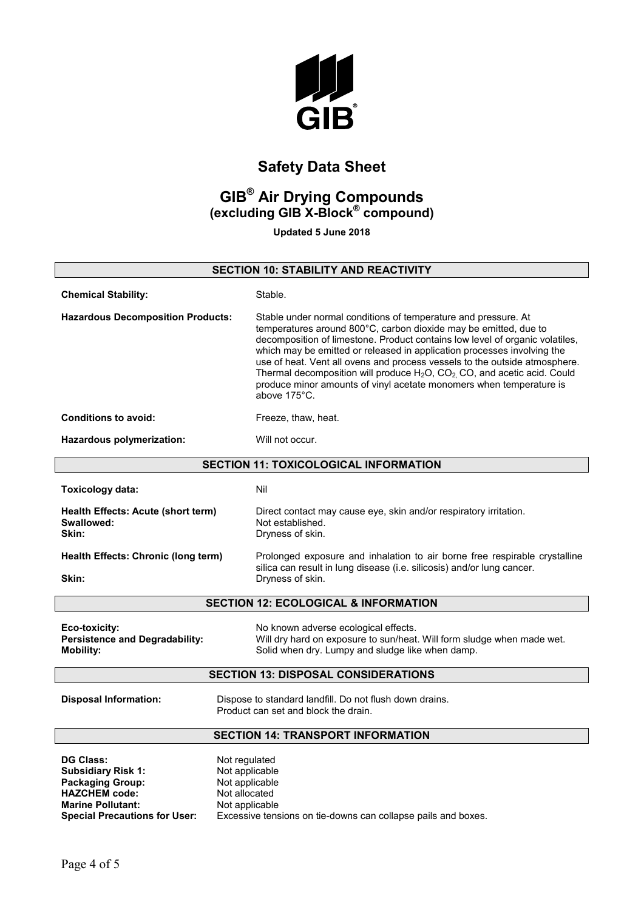

## **GIB® Air Drying Compounds (excluding GIB X-Block® compound)**

**Updated 5 June 2018**

## **SECTION 10: STABILITY AND REACTIVITY Chemical Stability:** Stable. **Hazardous Decomposition Products:** Stable under normal conditions of temperature and pressure. At temperatures around 800°C, carbon dioxide may be emitted, due to decomposition of limestone. Product contains low level of organic volatiles, which may be emitted or released in application processes involving the use of heat. Vent all ovens and process vessels to the outside atmosphere. Thermal decomposition will produce  $H_2O$ ,  $CO_2$ ,  $CO$ , and acetic acid. Could produce minor amounts of vinyl acetate monomers when temperature is above 175°C. **Conditions to avoid:** Freeze, thaw, heat. **Hazardous polymerization:** Will not occur. **SECTION 11: TOXICOLOGICAL INFORMATION Toxicology data:** Nil **Health Effects: Acute (short term)** Direct contact may cause eye, skin and/or respiratory irritation.<br> **Swallowed:** Not established. **Swallowed:** Not established.<br> **Not** established.<br> **Not** established.<br> **Note:** Dryness of skin. **Skin:** Dryness of skin. **Health Effects: Chronic (long term)** Prolonged exposure and inhalation to air borne free respirable crystalline silica can result in lung disease (i.e. silicosis) and/or lung cancer. **Skin:** Dryness of skin. **SECTION 12: ECOLOGICAL & INFORMATION Eco-toxicity:** No known adverse ecological effects. **Persistence and Degradability:** Will dry hard on exposure to sun/heat. Will form sludge when made wet. **Mobility:** Mobility: **Solid when dry. Lumpy and sludge like when damp.** Solid when dry. Lumpy and sludge like when damp. **SECTION 13: DISPOSAL CONSIDERATIONS Disposal Information:** Dispose to standard landfill. Do not flush down drains. Product can set and block the drain. **SECTION 14: TRANSPORT INFORMATION DG Class:** Not regulated **Subsidiary Risk 1:** Not applicable **Packaging Group:** Not applicable **HAZCHEM code:** Not allocated<br> **Marine Pollutant:** Not applicable **Marine Pollutant: Special Precautions for User:** Excessive tensions on tie-downs can collapse pails and boxes.